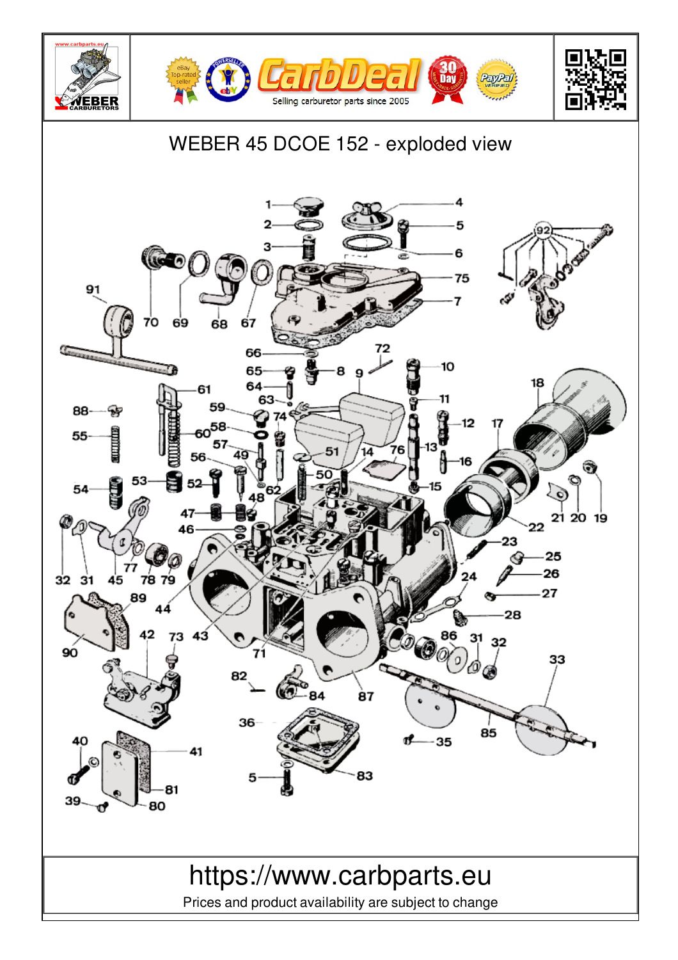